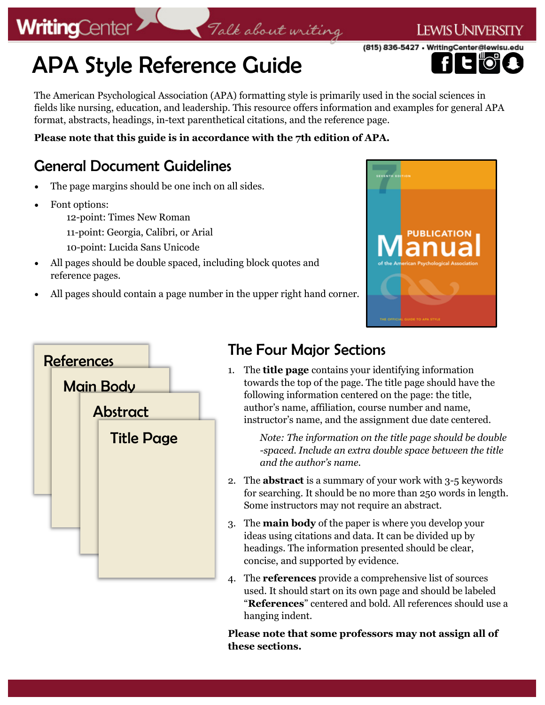## APA Style Reference Guide

The American Psychological Association (APA) formatting style is primarily used in the social sciences in fields like nursing, education, and leadership. This resource offers information and examples for general APA format, abstracts, headings, in-text parenthetical citations, and the reference page.

Talk about writing

**Please note that this guide is in accordance with the 7th edition of APA.** 

### General Document Guidelines

- The page margins should be one inch on all sides.
- Font options:

**WritingCenter** 

- 12-point: Times New Roman
- 11-point: Georgia, Calibri, or Arial
- 10-point: Lucida Sans Unicode
- All pages should be double spaced, including block quotes and reference pages.
- All pages should contain a page number in the upper right hand corner.





### The Four Major Sections

1. The **title page** contains your identifying information towards the top of the page. The title page should have the following information centered on the page: the title, author's name, affiliation, course number and name, instructor's name, and the assignment due date centered.

> *Note: The information on the title page should be double -spaced. Include an extra double space between the title and the author's name.*

- 2. The **abstract** is a summary of your work with 3-5 keywords for searching. It should be no more than 250 words in length. Some instructors may not require an abstract.
- 3. The **main body** of the paper is where you develop your ideas using citations and data. It can be divided up by headings. The information presented should be clear, concise, and supported by evidence.
- 4. The **references** provide a comprehensive list of sources used. It should start on its own page and should be labeled "**References**" centered and bold. All references should use a hanging indent.

**Please note that some professors may not assign all of these sections.**



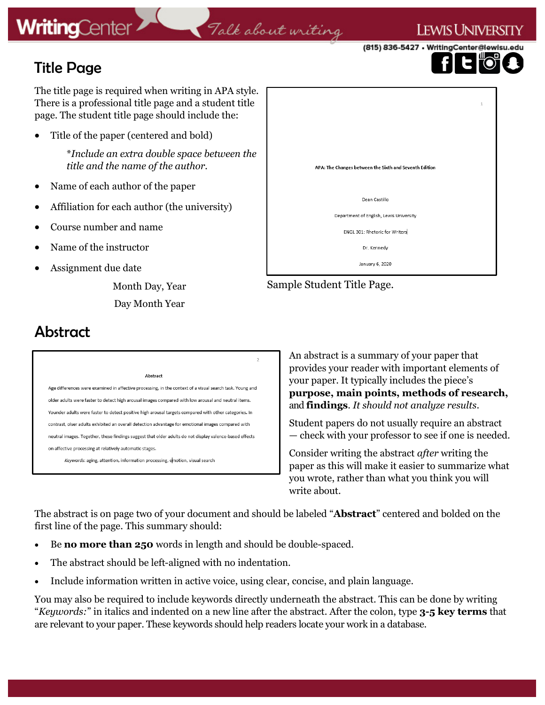### Talk about writing

(815) 836-5427 • WritingCenter@lewisu.

I ewis Universi

### Title Page

The title page is required when writing in APA style. There is a professional title page and a student title page. The student title page should include the:

• Title of the paper (centered and bold)

\**Include an extra double space between the title and the name of the author.*

- Name of each author of the paper
- Affiliation for each author (the university)
- Course number and name
- Name of the instructor
- Assignment due date

Month Day, Year Day Month Year

# APA: The Changes between the Sixth and Seventh Edition Dean Castillo Department of English, Lewis University ENGL 301: Rhetoric for Writers Dr. Kennedy January 6, 2020

Sample Student Title Page.

### Abstract

#### Abstract

Age differences were examined in affective processing, in the context of a visual search task. Young and older adults were faster to detect high arousal images compared with low arousal and neutral items. Younder adults were faster to detect positive high arousal targets compared with other categories. In contrast, olser adults exhibited an overall detection advantage for emotional images compared with neutral images. Together, these findings suggest that older adults do not display valence-based effects on affective processing at relatively automatic stages.

Keywords: aging, attention, information processing, emotion, visual search

An abstract is a summary of your paper that provides your reader with important elements of your paper. It typically includes the piece's **purpose, main points, methods of research,**  and **findings**. *It should not analyze results*.

Student papers do not usually require an abstract — check with your professor to see if one is needed.

Consider writing the abstract *after* writing the paper as this will make it easier to summarize what you wrote, rather than what you think you will write about.

The abstract is on page two of your document and should be labeled "**Abstract**" centered and bolded on the first line of the page. This summary should:

 $\overline{2}$ 

- Be **no more than 250** words in length and should be double-spaced.
- The abstract should be left-aligned with no indentation.
- Include information written in active voice, using clear, concise, and plain language.

You may also be required to include keywords directly underneath the abstract. This can be done by writing "*Keywords:*" in italics and indented on a new line after the abstract. After the colon, type **3-5 key terms** that are relevant to your paper. These keywords should help readers locate your work in a database.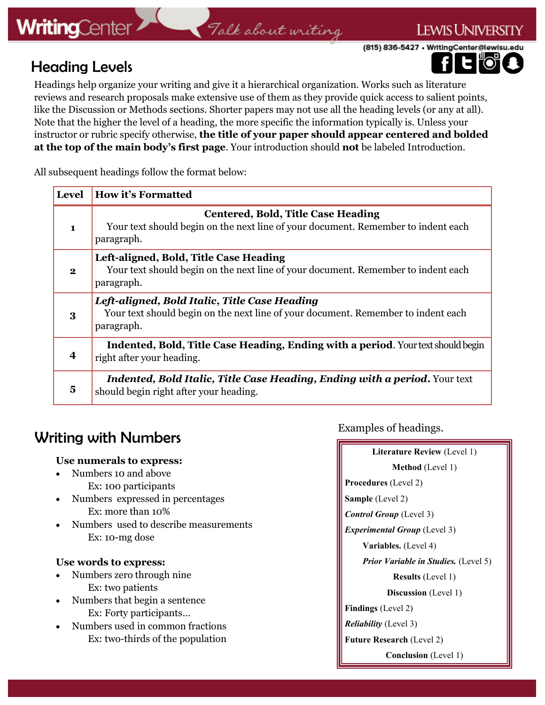### Talk about writing

(815) 836-5427 • WritingCenter@lewisu.edu

### Heading Levels

**LEWIS UNIVERSITY** 

Headings help organize your writing and give it a hierarchical organization. Works such as literature reviews and research proposals make extensive use of them as they provide quick access to salient points, like the Discussion or Methods sections. Shorter papers may not use all the heading levels (or any at all). Note that the higher the level of a heading, the more specific the information typically is. Unless your instructor or rubric specify otherwise, **the title of your paper should appear centered and bolded at the top of the main body's first page**. Your introduction should **not** be labeled Introduction.

All subsequent headings follow the format below:

| <b>Level</b>   | <b>How it's Formatted</b>                                                                                                                        |
|----------------|--------------------------------------------------------------------------------------------------------------------------------------------------|
| $\blacksquare$ | <b>Centered, Bold, Title Case Heading</b><br>Your text should begin on the next line of your document. Remember to indent each<br>paragraph.     |
| $\mathbf{2}$   | Left-aligned, Bold, Title Case Heading<br>Your text should begin on the next line of your document. Remember to indent each<br>paragraph.        |
| 3              | Left-aligned, Bold Italic, Title Case Heading<br>Your text should begin on the next line of your document. Remember to indent each<br>paragraph. |
|                | Indented, Bold, Title Case Heading, Ending with a period. Your text should begin<br>right after your heading.                                    |
| 5              | <b>Indented, Bold Italic, Title Case Heading, Ending with a period.</b> Your text<br>should begin right after your heading.                      |

### Writing with Numbers

#### **Use numerals to express:**

- Numbers 10 and above Ex: 100 participants
- Numbers expressed in percentages Ex: more than 10%
- Numbers used to describe measurements Ex: 10-mg dose

#### **Use words to express:**

- Numbers zero through nine Ex: two patients
- Numbers that begin a sentence Ex: Forty participants…
- Numbers used in common fractions Ex: two-thirds of the population

Examples of headings.

| Literature Review (Level 1)                 |  |
|---------------------------------------------|--|
| Method (Level 1)                            |  |
| <b>Procedures</b> (Level 2)                 |  |
| <b>Sample</b> (Level 2)                     |  |
| <b>Control Group</b> (Level 3)              |  |
| <b>Experimental Group</b> (Level 3)         |  |
| Variables. (Level 4)                        |  |
| <b>Prior Variable in Studies.</b> (Level 5) |  |
| <b>Results</b> (Level 1)                    |  |
| Discussion (Level 1)                        |  |
| <b>Findings</b> (Level 2)                   |  |
| <b>Reliability</b> (Level 3)                |  |
| <b>Future Research (Level 2)</b>            |  |
| <b>Conclusion</b> (Level 1)                 |  |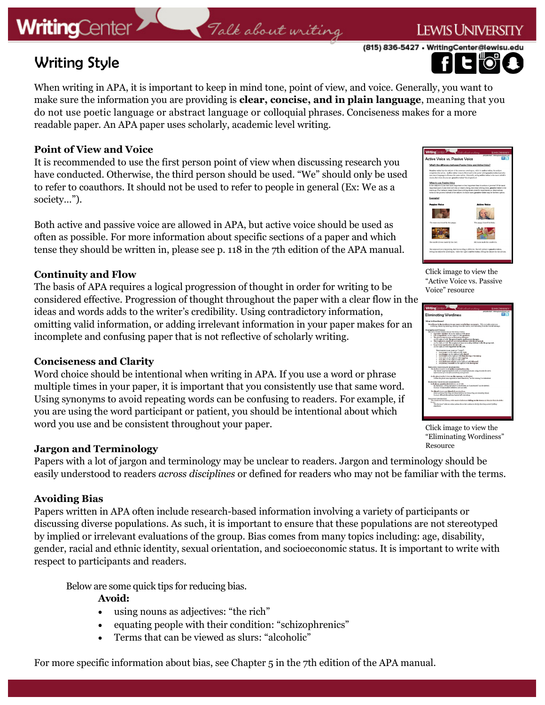### Talk about writing

(815) 836-5427 · WritingCenter@lewisu.edu

**LEWIS UNIVERSI** 



### Writing Style

When writing in APA, it is important to keep in mind tone, point of view, and voice. Generally, you want to make sure the information you are providing is **clear, concise, and in plain language**, meaning that you do not use poetic language or abstract language or colloquial phrases. Conciseness makes for a more readable paper. An APA paper uses scholarly, academic level writing.

#### **Point of View and Voice**

It is recommended to use the first person point of view when discussing research you have conducted. Otherwise, the third person should be used. "We" should only be used to refer to coauthors. It should not be used to refer to people in general (Ex: We as a society…").

Both active and passive voice are allowed in APA, but active voice should be used as often as possible. For more information about specific sections of a paper and which tense they should be written in, please see p. 118 in the 7th edition of the APA manual.

#### **Continuity and Flow**

The basis of APA requires a logical progression of thought in order for writing to be considered effective. Progression of thought throughout the paper with a clear flow in the ideas and words adds to the writer's credibility. Using contradictory information, omitting valid information, or adding irrelevant information in your paper makes for an incomplete and confusing paper that is not reflective of scholarly writing.

#### **Conciseness and Clarity**

Word choice should be intentional when writing in APA. If you use a word or phrase multiple times in your paper, it is important that you consistently use that same word. Using synonyms to avoid repeating words can be confusing to readers. For example, if you are using the word participant or patient, you should be intentional about which word you use and be consistent throughout your paper.

#### **Jargon and Terminology**

Papers with a lot of jargon and terminology may be unclear to readers. Jargon and terminology should be easily understood to readers *across disciplines* or defined for readers who may not be familiar with the terms.

#### **Avoiding Bias**

Papers written in APA often include research-based information involving a variety of participants or discussing diverse populations. As such, it is important to ensure that these populations are not stereotyped by implied or irrelevant evaluations of the group. Bias comes from many topics including: age, disability, gender, racial and ethnic identity, sexual orientation, and socioeconomic status. It is important to write with respect to participants and readers.

Below are some quick tips for reducing bias.

#### **Avoid:**

- using nouns as adjectives: "the rich"
- equating people with their condition: "schizophrenics"
- Terms that can be viewed as slurs: "alcoholic"



Click image to view the "Active Voice vs. Passive Voice" resource



Click image to view the "Eliminating Wordiness" Resource

For more specific information about bias, see Chapter 5 in the 7th edition of the APA manual.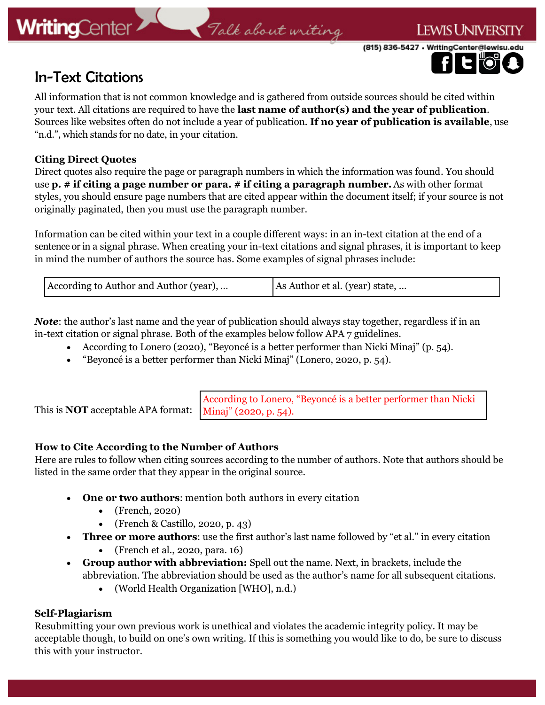### Talk about writing

(815) 836-5427 · WritingCenter@lewisu.

I ewis University



All information that is not common knowledge and is gathered from outside sources should be cited within your text. All citations are required to have the **last name of author(s) and the year of publication**. Sources like websites often do not include a year of publication. **If no year of publication is available**, use "n.d.", which stands for no date, in your citation.

#### **Citing Direct Quotes**

Direct quotes also require the page or paragraph numbers in which the information was found. You should use **p. # if citing a page number or para. # if citing a paragraph number.** As with other format styles, you should ensure page numbers that are cited appear within the document itself; if your source is not originally paginated, then you must use the paragraph number.

Information can be cited within your text in a couple different ways: in an in-text citation at the end of a sentence or in a signal phrase. When creating your in-text citations and signal phrases, it is important to keep in mind the number of authors the source has. Some examples of signal phrases include:

| According to Author and Author (year), | As Author et al. (year) state, |  |
|----------------------------------------|--------------------------------|--|
|----------------------------------------|--------------------------------|--|

*Note*: the author's last name and the year of publication should always stay together, regardless if in an in-text citation or signal phrase. Both of the examples below follow APA 7 guidelines.

- According to Lonero (2020), "Beyoncé is a better performer than Nicki Minaj" (p. 54).
- "Beyoncé is a better performer than Nicki Minaj" (Lonero, 2020, p. 54).

This is **NOT** acceptable APA format: According to Lonero, "Beyoncé is a better performer than Nicki Minaj" (2020, p. 54).

#### **How to Cite According to the Number of Authors**

Here are rules to follow when citing sources according to the number of authors. Note that authors should be listed in the same order that they appear in the original source.

- **One or two authors**: mention both authors in every citation
	- (French, 2020)
	- (French & Castillo, 2020, p. 43)
- **Three or more authors**: use the first author's last name followed by "et al." in every citation
	- (French et al., 2020, para. 16)
- **Group author with abbreviation:** Spell out the name. Next, in brackets, include the abbreviation. The abbreviation should be used as the author's name for all subsequent citations.
	- (World Health Organization [WHO], n.d.)

#### **Self-Plagiarism**

Resubmitting your own previous work is unethical and violates the academic integrity policy. It may be acceptable though, to build on one's own writing. If this is something you would like to do, be sure to discuss this with your instructor.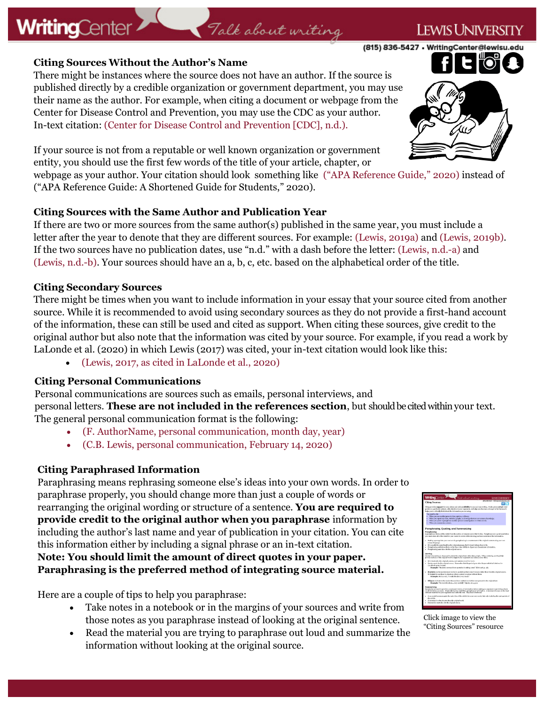#### **Citing Sources Without the Author's Name**

**WritingCenter** 

There might be instances where the source does not have an author. If the source is published directly by a credible organization or government department, you may use their name as the author. For example, when citing a document or webpage from the Center for Disease Control and Prevention, you may use the CDC as your author. In-text citation: (Center for Disease Control and Prevention [CDC], n.d.).

If your source is not from a reputable or well known organization or government entity, you should use the first few words of the title of your article, chapter, or

webpage as your author. Your citation should look something like ("APA Reference Guide," 2020) instead of ("APA Reference Guide: A Shortened Guide for Students," 2020).

Talk about writing

#### **Citing Sources with the Same Author and Publication Year**

If there are two or more sources from the same author(s) published in the same year, you must include a letter after the year to denote that they are different sources. For example: (Lewis, 2019a) and (Lewis, 2019b). If the two sources have no publication dates, use "n.d." with a dash before the letter: (Lewis, n.d.-a) and (Lewis, n.d.-b). Your sources should have an a, b, c, etc. based on the alphabetical order of the title.

#### **Citing Secondary Sources**

There might be times when you want to include information in your essay that your source cited from another source. While it is recommended to avoid using secondary sources as they do not provide a first-hand account of the information, these can still be used and cited as support. When citing these sources, give credit to the original author but also note that the information was cited by your source. For example, if you read a work by LaLonde et al. (2020) in which Lewis (2017) was cited, your in-text citation would look like this:

• (Lewis, 2017, as cited in LaLonde et al., 2020)

#### **Citing Personal Communications**

Personal communications are sources such as emails, personal interviews, and personal letters. **These are not included in the references section**, but should be cited within your text. The general personal communication format is the following:

- (F. AuthorName, personal communication, month day, year)
- (C.B. Lewis, personal communication, February 14, 2020)

#### **Citing Paraphrased Information**

Paraphrasing means rephrasing someone else's ideas into your own words. In order to paraphrase properly, you should change more than just a couple of words or rearranging the original wording or structure of a sentence. **You are required to provide credit to the original author when you paraphrase** information by including the author's last name and year of publication in your citation. You can cite this information either by including a signal phrase or an in-text citation. **Note: You should limit the amount of direct quotes in your paper. Paraphrasing is the preferred method of integrating source material.** 

Here are a couple of tips to help you paraphrase:

- Take notes in a notebook or in the margins of your sources and write from those notes as you paraphrase instead of looking at the original sentence.
- Read the material you are trying to paraphrase out loud and summarize the information without looking at the original source.





Click image to view the "Citing Sources" resource

(815) 836-5427 • WritingCenter@lewisu.



### I ewis Univers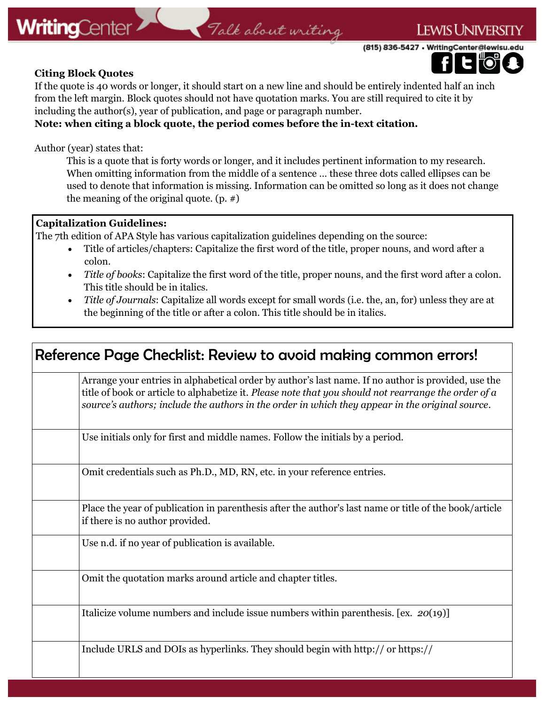(815) 836-5427 · WritingCenter@lewisu.edu

**LEWIS UNIVERSI** 

#### **Citing Block Quotes**

If the quote is 40 words or longer, it should start on a new line and should be entirely indented half an inch from the left margin. Block quotes should not have quotation marks. You are still required to cite it by including the author(s), year of publication, and page or paragraph number.

#### **Note: when citing a block quote, the period comes before the in-text citation.**

Author (year) states that:

This is a quote that is forty words or longer, and it includes pertinent information to my research. When omitting information from the middle of a sentence … these three dots called ellipses can be used to denote that information is missing. Information can be omitted so long as it does not change the meaning of the original quote. (p. #)

#### **Capitalization Guidelines:**

The 7th edition of APA Style has various capitalization guidelines depending on the source:

- Title of articles/chapters: Capitalize the first word of the title, proper nouns, and word after a colon.
- *Title of books*: Capitalize the first word of the title, proper nouns, and the first word after a colon. This title should be in italics.
- *Title of Journals*: Capitalize all words except for small words (i.e. the, an, for) unless they are at the beginning of the title or after a colon. This title should be in italics.

| Reference Page Checklist: Review to avoid making common errors!                                                                                                                                                                                                                                                |
|----------------------------------------------------------------------------------------------------------------------------------------------------------------------------------------------------------------------------------------------------------------------------------------------------------------|
| Arrange your entries in alphabetical order by author's last name. If no author is provided, use the<br>title of book or article to alphabetize it. Please note that you should not rearrange the order of a<br>source's authors; include the authors in the order in which they appear in the original source. |
| Use initials only for first and middle names. Follow the initials by a period.                                                                                                                                                                                                                                 |
| Omit credentials such as Ph.D., MD, RN, etc. in your reference entries.                                                                                                                                                                                                                                        |
| Place the year of publication in parenthesis after the author's last name or title of the book/article<br>if there is no author provided.                                                                                                                                                                      |
| Use n.d. if no year of publication is available.                                                                                                                                                                                                                                                               |
| Omit the quotation marks around article and chapter titles.                                                                                                                                                                                                                                                    |
| Italicize volume numbers and include issue numbers within parenthesis. [ex. $20(19)$ ]                                                                                                                                                                                                                         |
| Include URLS and DOIs as hyperlinks. They should begin with http:// or https://                                                                                                                                                                                                                                |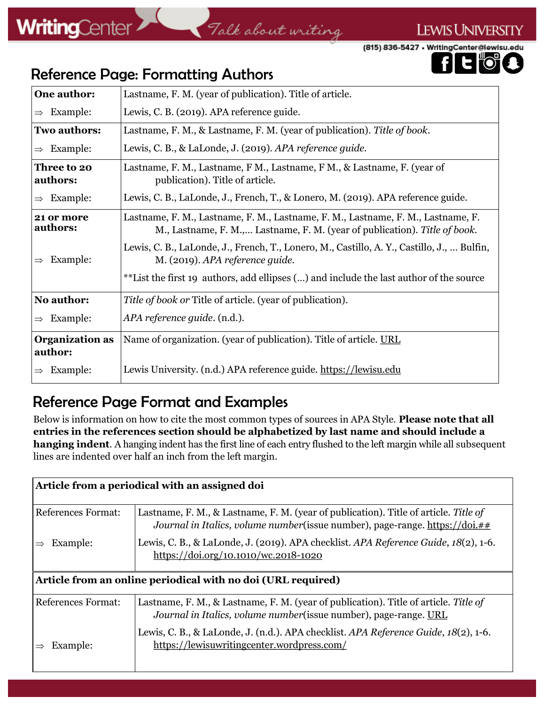### Talk about writing

(815) 836-5427 • WritingCenter@lewisu.edu



**LEWIS UNIVERSITY** 

### Reference Page: Formatting Authors

| One author:                       | Lastname, F. M. (year of publication). Title of article.                                                                                                       |
|-----------------------------------|----------------------------------------------------------------------------------------------------------------------------------------------------------------|
| Example:<br>$\Rightarrow$         | Lewis, C. B. (2019). APA reference guide.                                                                                                                      |
| <b>Two authors:</b>               | Lastname, F. M., & Lastname, F. M. (year of publication). Title of book.                                                                                       |
| Example:<br>$\Rightarrow$         | Lewis, C. B., & LaLonde, J. (2019). APA reference guide.                                                                                                       |
| <b>Three to 20</b><br>authors:    | Lastname, F. M., Lastname, F. M., Lastname, F. M., & Lastname, F. (year of<br>publication). Title of article.                                                  |
| Example:<br>$\Rightarrow$         | Lewis, C. B., LaLonde, J., French, T., & Lonero, M. (2019). APA reference guide.                                                                               |
| 21 or more<br>authors:            | Lastname, F. M., Lastname, F. M., Lastname, F. M., Lastname, F. M., Lastname, F.<br>M., Lastname, F. M., Lastname, F. M. (year of publication). Title of book. |
| Example:<br>$\Rightarrow$         | Lewis, C. B., LaLonde, J., French, T., Lonero, M., Castillo, A. Y., Castillo, J.,  Bulfin,<br>M. (2019). APA reference guide.                                  |
|                                   | **List the first 19 authors, add ellipses () and include the last author of the source                                                                         |
| No author:                        | Title of book or Title of article. (year of publication).                                                                                                      |
| Example:<br>$\Rightarrow$         | APA reference guide. (n.d.).                                                                                                                                   |
| <b>Organization as</b><br>author: | Name of organization. (year of publication). Title of article. URL                                                                                             |
| Example:                          | Lewis University. (n.d.) APA reference guide. https://lewisu.edu                                                                                               |

### Reference Page Format and Examples

Below is information on how to cite the most common types of sources in APA Style. **Please note that all entries in the references section should be alphabetized by last name and should include a hanging indent**. A hanging indent has the first line of each entry flushed to the left margin while all subsequent lines are indented over half an inch from the left margin.

| Article from a periodical with an assigned doi               |                                                                                                                                                                            |  |  |
|--------------------------------------------------------------|----------------------------------------------------------------------------------------------------------------------------------------------------------------------------|--|--|
| References Format:                                           | Lastname, F. M., & Lastname, F. M. (year of publication). Title of article. Title of<br>Journal in Italics, volume number (issue number), page-range. https://doi.##       |  |  |
| Example:                                                     | Lewis, C. B., & LaLonde, J. (2019). APA checklist. APA Reference Guide, 18(2), 1-6.<br>$\frac{https://doi.org/10.1010/wc.2018-1020}{https://doi.org/10.1010/wc.2018-1020}$ |  |  |
| Article from an online periodical with no doi (URL required) |                                                                                                                                                                            |  |  |
|                                                              |                                                                                                                                                                            |  |  |
| <b>References Format:</b>                                    | Lastname, F. M., & Lastname, F. M. (year of publication). Title of article. Title of<br>Journal in Italics, volume number (issue number), page-range. URL                  |  |  |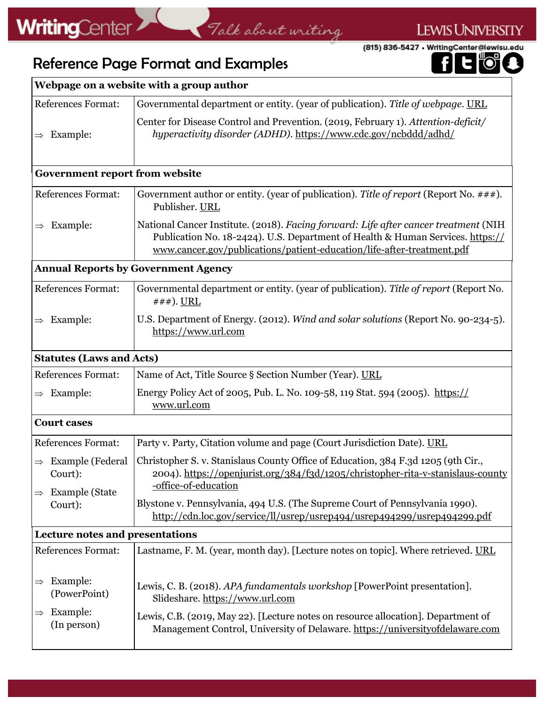### LEWIS UNIVERSITY

(815) 836-5427 · WritingCenter@lewisu.edu

#### $\mathbf{E}^{\mathbb{A}}$ 0

### Reference Page Format and Examples

| Webpage on a website with a group author                                                      |                                                                                                                                                                                                                                                 |  |  |  |  |
|-----------------------------------------------------------------------------------------------|-------------------------------------------------------------------------------------------------------------------------------------------------------------------------------------------------------------------------------------------------|--|--|--|--|
| <b>References Format:</b>                                                                     | Governmental department or entity. (year of publication). Title of webpage. URL                                                                                                                                                                 |  |  |  |  |
| Example:<br>$\Rightarrow$                                                                     | Center for Disease Control and Prevention. (2019, February 1). Attention-deficit/<br>hyperactivity disorder (ADHD). https://www.cdc.gov/ncbddd/adhd/                                                                                            |  |  |  |  |
|                                                                                               | <b>Government report from website</b>                                                                                                                                                                                                           |  |  |  |  |
| <b>References Format:</b>                                                                     | Government author or entity. (year of publication). Title of report (Report No. $\# \#$ ).<br>Publisher. URL                                                                                                                                    |  |  |  |  |
| Example:<br>$\Rightarrow$                                                                     | National Cancer Institute. (2018). Facing forward: Life after cancer treatment (NIH<br>Publication No. 18-2424). U.S. Department of Health & Human Services. https://<br>www.cancer.gov/publications/patient-education/life-after-treatment.pdf |  |  |  |  |
|                                                                                               | <b>Annual Reports by Government Agency</b>                                                                                                                                                                                                      |  |  |  |  |
| <b>References Format:</b>                                                                     | Governmental department or entity. (year of publication). Title of report (Report No.<br>$\# \# \#$ ). URL                                                                                                                                      |  |  |  |  |
| Example:<br>$\Rightarrow$                                                                     | U.S. Department of Energy. (2012). Wind and solar solutions (Report No. 90-234-5).<br>https://www.url.com                                                                                                                                       |  |  |  |  |
| <b>Statutes (Laws and Acts)</b>                                                               |                                                                                                                                                                                                                                                 |  |  |  |  |
| <b>References Format:</b>                                                                     | Name of Act, Title Source § Section Number (Year). URL                                                                                                                                                                                          |  |  |  |  |
| Example:<br>$\Rightarrow$                                                                     | Energy Policy Act of 2005, Pub. L. No. 109-58, 119 Stat. 594 (2005). https://<br>www.url.com                                                                                                                                                    |  |  |  |  |
| <b>Court cases</b>                                                                            |                                                                                                                                                                                                                                                 |  |  |  |  |
| <b>References Format:</b>                                                                     | Party v. Party, Citation volume and page (Court Jurisdiction Date). URL                                                                                                                                                                         |  |  |  |  |
| <b>Example</b> (Federal<br>$\Rightarrow$<br>Court):<br><b>Example</b> (State<br>$\Rightarrow$ | Christopher S. v. Stanislaus County Office of Education, 384 F.3d 1205 (9th Cir.,<br>2004). https://openjurist.org/384/f3d/1205/christopher-rita-v-stanislaus-county<br>-office-of-education                                                    |  |  |  |  |
| Court):                                                                                       | Blystone v. Pennsylvania, 494 U.S. (The Supreme Court of Pennsylvania 1990).<br>http://cdn.loc.gov/service/ll/usrep/usrep494/usrep494299/usrep494299.pdf                                                                                        |  |  |  |  |
| <b>Lecture notes and presentations</b>                                                        |                                                                                                                                                                                                                                                 |  |  |  |  |
| <b>References Format:</b>                                                                     | Lastname, F. M. (year, month day). [Lecture notes on topic]. Where retrieved. URL                                                                                                                                                               |  |  |  |  |
| Example:<br>(PowerPoint)                                                                      | Lewis, C. B. (2018). APA fundamentals workshop [PowerPoint presentation].<br>Slideshare. https://www.url.com                                                                                                                                    |  |  |  |  |
| Example:<br>$\Rightarrow$<br>(In person)                                                      | Lewis, C.B. (2019, May 22). [Lecture notes on resource allocation]. Department of<br>Management Control, University of Delaware. https://universityofdelaware.com                                                                               |  |  |  |  |

Talk about writing